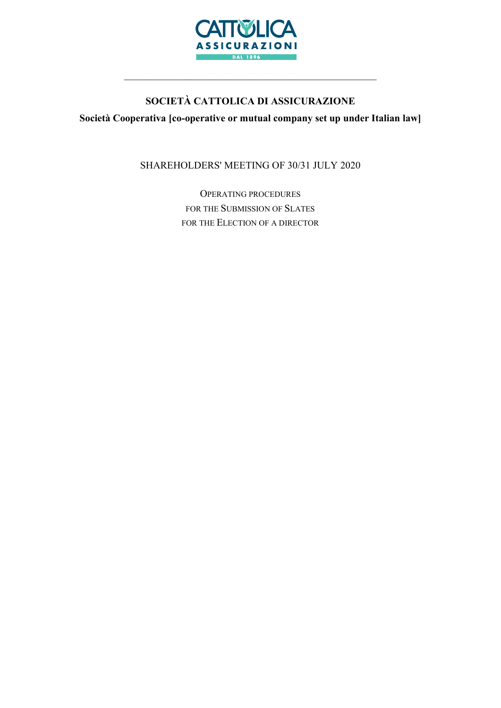

# SOCIETÀ CATTOLICA DI ASSICURAZIONE

Società Cooperativa [co-operative or mutual company set up under Italian law]

SHAREHOLDERS' MEETING OF 30/31 JULY 2020

OPERATING PROCEDURES FOR THE SUBMISSION OF SLATES FOR THE ELECTION OF A DIRECTOR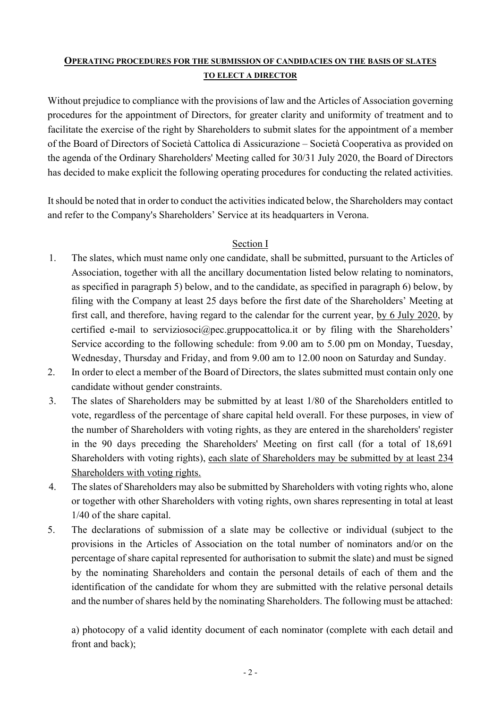# OPERATING PROCEDURES FOR THE SUBMISSION OF CANDIDACIES ON THE BASIS OF SLATES TO ELECT A DIRECTOR

Without prejudice to compliance with the provisions of law and the Articles of Association governing procedures for the appointment of Directors, for greater clarity and uniformity of treatment and to facilitate the exercise of the right by Shareholders to submit slates for the appointment of a member of the Board of Directors of Società Cattolica di Assicurazione – Società Cooperativa as provided on the agenda of the Ordinary Shareholders' Meeting called for 30/31 July 2020, the Board of Directors has decided to make explicit the following operating procedures for conducting the related activities.

It should be noted that in order to conduct the activities indicated below, the Shareholders may contact and refer to the Company's Shareholders' Service at its headquarters in Verona.

## Section I

- 1. The slates, which must name only one candidate, shall be submitted, pursuant to the Articles of Association, together with all the ancillary documentation listed below relating to nominators, as specified in paragraph 5) below, and to the candidate, as specified in paragraph 6) below, by filing with the Company at least 25 days before the first date of the Shareholders' Meeting at first call, and therefore, having regard to the calendar for the current year, by 6 July 2020, by certified e-mail to serviziosoci@pec.gruppocattolica.it or by filing with the Shareholders' Service according to the following schedule: from 9.00 am to 5.00 pm on Monday, Tuesday, Wednesday, Thursday and Friday, and from 9.00 am to 12.00 noon on Saturday and Sunday.
- 2. In order to elect a member of the Board of Directors, the slates submitted must contain only one candidate without gender constraints.
- 3. The slates of Shareholders may be submitted by at least 1/80 of the Shareholders entitled to vote, regardless of the percentage of share capital held overall. For these purposes, in view of the number of Shareholders with voting rights, as they are entered in the shareholders' register in the 90 days preceding the Shareholders' Meeting on first call (for a total of 18,691 Shareholders with voting rights), each slate of Shareholders may be submitted by at least 234 Shareholders with voting rights.
- 4. The slates of Shareholders may also be submitted by Shareholders with voting rights who, alone or together with other Shareholders with voting rights, own shares representing in total at least 1/40 of the share capital.
- 5. The declarations of submission of a slate may be collective or individual (subject to the provisions in the Articles of Association on the total number of nominators and/or on the percentage of share capital represented for authorisation to submit the slate) and must be signed by the nominating Shareholders and contain the personal details of each of them and the identification of the candidate for whom they are submitted with the relative personal details and the number of shares held by the nominating Shareholders. The following must be attached:

a) photocopy of a valid identity document of each nominator (complete with each detail and front and back);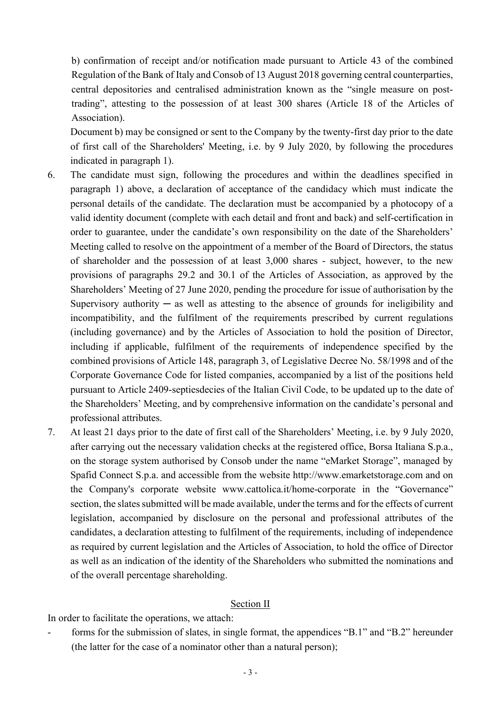b) confirmation of receipt and/or notification made pursuant to Article 43 of the combined Regulation of the Bank of Italy and Consob of 13 August 2018 governing central counterparties, central depositories and centralised administration known as the "single measure on posttrading", attesting to the possession of at least 300 shares (Article 18 of the Articles of Association).

Document b) may be consigned or sent to the Company by the twenty-first day prior to the date of first call of the Shareholders' Meeting, i.e. by 9 July 2020, by following the procedures indicated in paragraph 1).

- 6. The candidate must sign, following the procedures and within the deadlines specified in paragraph 1) above, a declaration of acceptance of the candidacy which must indicate the personal details of the candidate. The declaration must be accompanied by a photocopy of a valid identity document (complete with each detail and front and back) and self-certification in order to guarantee, under the candidate's own responsibility on the date of the Shareholders' Meeting called to resolve on the appointment of a member of the Board of Directors, the status of shareholder and the possession of at least 3,000 shares - subject, however, to the new provisions of paragraphs 29.2 and 30.1 of the Articles of Association, as approved by the Shareholders' Meeting of 27 June 2020, pending the procedure for issue of authorisation by the Supervisory authority  $-$  as well as attesting to the absence of grounds for ineligibility and incompatibility, and the fulfilment of the requirements prescribed by current regulations (including governance) and by the Articles of Association to hold the position of Director, including if applicable, fulfilment of the requirements of independence specified by the combined provisions of Article 148, paragraph 3, of Legislative Decree No. 58/1998 and of the Corporate Governance Code for listed companies, accompanied by a list of the positions held pursuant to Article 2409-septiesdecies of the Italian Civil Code, to be updated up to the date of the Shareholders' Meeting, and by comprehensive information on the candidate's personal and professional attributes.
- 7. At least 21 days prior to the date of first call of the Shareholders' Meeting, i.e. by 9 July 2020, after carrying out the necessary validation checks at the registered office, Borsa Italiana S.p.a., on the storage system authorised by Consob under the name "eMarket Storage", managed by Spafid Connect S.p.a. and accessible from the website http://www.emarketstorage.com and on the Company's corporate website www.cattolica.it/home-corporate in the "Governance" section, the slates submitted will be made available, under the terms and for the effects of current legislation, accompanied by disclosure on the personal and professional attributes of the candidates, a declaration attesting to fulfilment of the requirements, including of independence as required by current legislation and the Articles of Association, to hold the office of Director as well as an indication of the identity of the Shareholders who submitted the nominations and of the overall percentage shareholding.

#### Section II

In order to facilitate the operations, we attach:

forms for the submission of slates, in single format, the appendices "B.1" and "B.2" hereunder (the latter for the case of a nominator other than a natural person);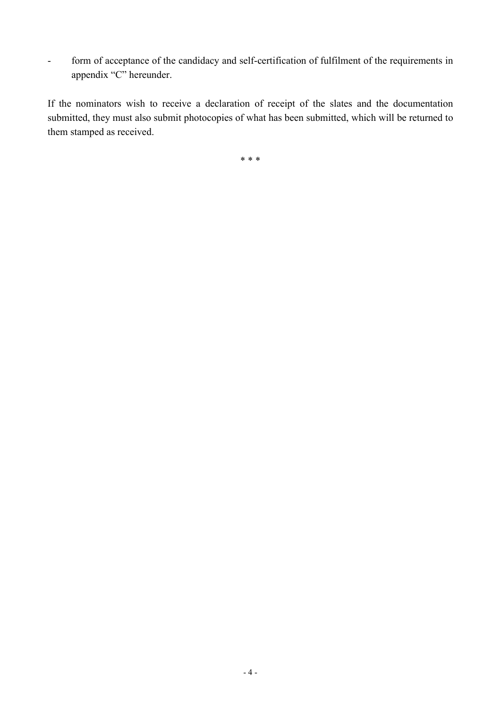- form of acceptance of the candidacy and self-certification of fulfilment of the requirements in appendix "C" hereunder.

If the nominators wish to receive a declaration of receipt of the slates and the documentation submitted, they must also submit photocopies of what has been submitted, which will be returned to them stamped as received.

\* \* \*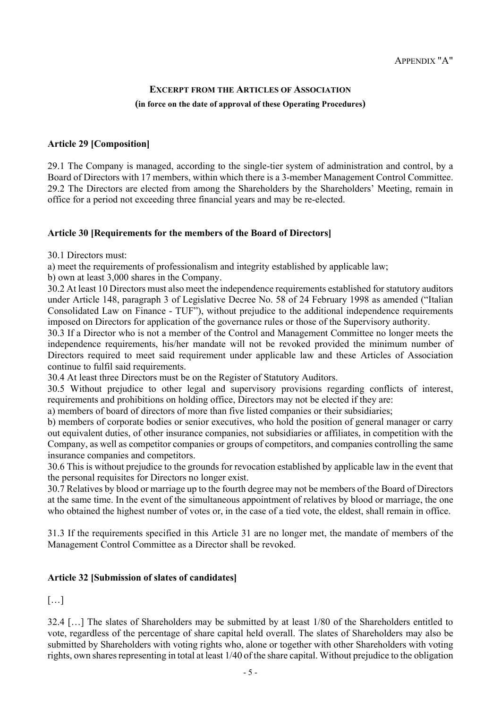### EXCERPT FROM THE ARTICLES OF ASSOCIATION (in force on the date of approval of these Operating Procedures)

#### Article 29 [Composition]

29.1 The Company is managed, according to the single-tier system of administration and control, by a Board of Directors with 17 members, within which there is a 3-member Management Control Committee. 29.2 The Directors are elected from among the Shareholders by the Shareholders' Meeting, remain in office for a period not exceeding three financial years and may be re-elected.

#### Article 30 [Requirements for the members of the Board of Directors]

30.1 Directors must:

a) meet the requirements of professionalism and integrity established by applicable law;

b) own at least 3,000 shares in the Company.

30.2 At least 10 Directors must also meet the independence requirements established for statutory auditors under Article 148, paragraph 3 of Legislative Decree No. 58 of 24 February 1998 as amended ("Italian Consolidated Law on Finance - TUF"), without prejudice to the additional independence requirements imposed on Directors for application of the governance rules or those of the Supervisory authority.

30.3 If a Director who is not a member of the Control and Management Committee no longer meets the independence requirements, his/her mandate will not be revoked provided the minimum number of Directors required to meet said requirement under applicable law and these Articles of Association continue to fulfil said requirements.

30.4 At least three Directors must be on the Register of Statutory Auditors.

30.5 Without prejudice to other legal and supervisory provisions regarding conflicts of interest, requirements and prohibitions on holding office, Directors may not be elected if they are:

a) members of board of directors of more than five listed companies or their subsidiaries;

b) members of corporate bodies or senior executives, who hold the position of general manager or carry out equivalent duties, of other insurance companies, not subsidiaries or affiliates, in competition with the Company, as well as competitor companies or groups of competitors, and companies controlling the same insurance companies and competitors.

30.6 This is without prejudice to the grounds for revocation established by applicable law in the event that the personal requisites for Directors no longer exist.

30.7 Relatives by blood or marriage up to the fourth degree may not be members of the Board of Directors at the same time. In the event of the simultaneous appointment of relatives by blood or marriage, the one who obtained the highest number of votes or, in the case of a tied vote, the eldest, shall remain in office.

31.3 If the requirements specified in this Article 31 are no longer met, the mandate of members of the Management Control Committee as a Director shall be revoked.

#### Article 32 [Submission of slates of candidates]

 $[\ldots]$ 

32.4 […] The slates of Shareholders may be submitted by at least 1/80 of the Shareholders entitled to vote, regardless of the percentage of share capital held overall. The slates of Shareholders may also be submitted by Shareholders with voting rights who, alone or together with other Shareholders with voting rights, own shares representing in total at least 1/40 of the share capital. Without prejudice to the obligation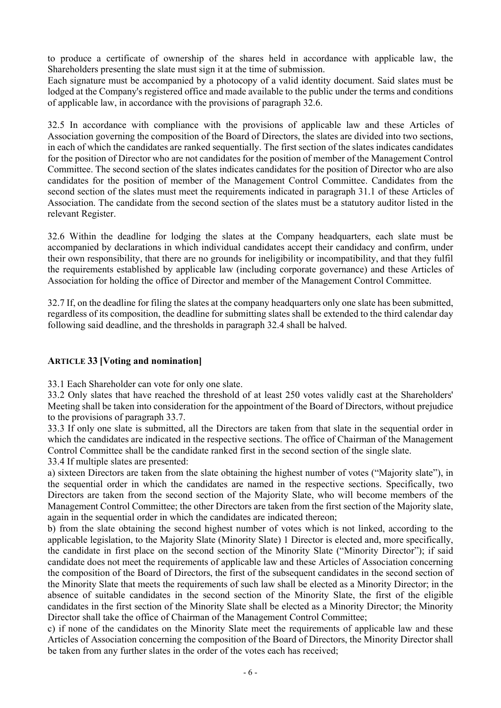to produce a certificate of ownership of the shares held in accordance with applicable law, the Shareholders presenting the slate must sign it at the time of submission.

Each signature must be accompanied by a photocopy of a valid identity document. Said slates must be lodged at the Company's registered office and made available to the public under the terms and conditions of applicable law, in accordance with the provisions of paragraph 32.6.

32.5 In accordance with compliance with the provisions of applicable law and these Articles of Association governing the composition of the Board of Directors, the slates are divided into two sections, in each of which the candidates are ranked sequentially. The first section of the slates indicates candidates for the position of Director who are not candidates for the position of member of the Management Control Committee. The second section of the slates indicates candidates for the position of Director who are also candidates for the position of member of the Management Control Committee. Candidates from the second section of the slates must meet the requirements indicated in paragraph 31.1 of these Articles of Association. The candidate from the second section of the slates must be a statutory auditor listed in the relevant Register.

32.6 Within the deadline for lodging the slates at the Company headquarters, each slate must be accompanied by declarations in which individual candidates accept their candidacy and confirm, under their own responsibility, that there are no grounds for ineligibility or incompatibility, and that they fulfil the requirements established by applicable law (including corporate governance) and these Articles of Association for holding the office of Director and member of the Management Control Committee.

32.7 If, on the deadline for filing the slates at the company headquarters only one slate has been submitted, regardless of its composition, the deadline for submitting slates shall be extended to the third calendar day following said deadline, and the thresholds in paragraph 32.4 shall be halved.

### ARTICLE 33 [Voting and nomination]

33.1 Each Shareholder can vote for only one slate.

33.2 Only slates that have reached the threshold of at least 250 votes validly cast at the Shareholders' Meeting shall be taken into consideration for the appointment of the Board of Directors, without prejudice to the provisions of paragraph 33.7.

33.3 If only one slate is submitted, all the Directors are taken from that slate in the sequential order in which the candidates are indicated in the respective sections. The office of Chairman of the Management Control Committee shall be the candidate ranked first in the second section of the single slate.

33.4 If multiple slates are presented:

a) sixteen Directors are taken from the slate obtaining the highest number of votes ("Majority slate"), in the sequential order in which the candidates are named in the respective sections. Specifically, two Directors are taken from the second section of the Majority Slate, who will become members of the Management Control Committee; the other Directors are taken from the first section of the Majority slate, again in the sequential order in which the candidates are indicated thereon;

b) from the slate obtaining the second highest number of votes which is not linked, according to the applicable legislation, to the Majority Slate (Minority Slate) 1 Director is elected and, more specifically, the candidate in first place on the second section of the Minority Slate ("Minority Director"); if said candidate does not meet the requirements of applicable law and these Articles of Association concerning the composition of the Board of Directors, the first of the subsequent candidates in the second section of the Minority Slate that meets the requirements of such law shall be elected as a Minority Director; in the absence of suitable candidates in the second section of the Minority Slate, the first of the eligible candidates in the first section of the Minority Slate shall be elected as a Minority Director; the Minority Director shall take the office of Chairman of the Management Control Committee;

c) if none of the candidates on the Minority Slate meet the requirements of applicable law and these Articles of Association concerning the composition of the Board of Directors, the Minority Director shall be taken from any further slates in the order of the votes each has received;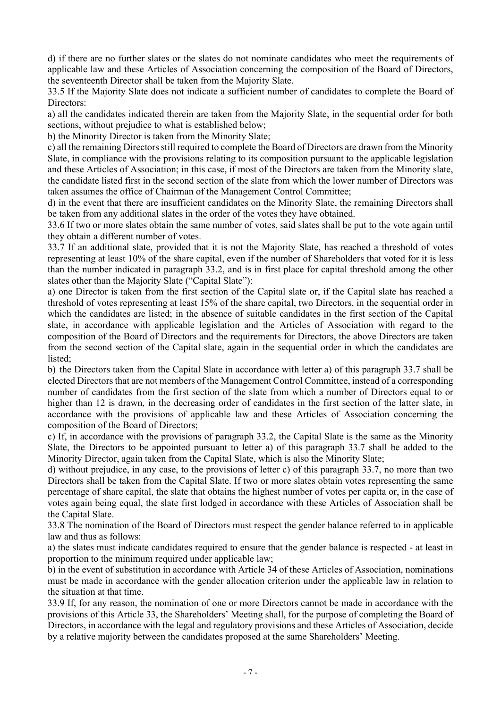d) if there are no further slates or the slates do not nominate candidates who meet the requirements of applicable law and these Articles of Association concerning the composition of the Board of Directors, the seventeenth Director shall be taken from the Majority Slate.

33.5 If the Majority Slate does not indicate a sufficient number of candidates to complete the Board of Directors:

a) all the candidates indicated therein are taken from the Majority Slate, in the sequential order for both sections, without prejudice to what is established below;

b) the Minority Director is taken from the Minority Slate;

c) all the remaining Directors still required to complete the Board of Directors are drawn from the Minority Slate, in compliance with the provisions relating to its composition pursuant to the applicable legislation and these Articles of Association; in this case, if most of the Directors are taken from the Minority slate, the candidate listed first in the second section of the slate from which the lower number of Directors was taken assumes the office of Chairman of the Management Control Committee;

d) in the event that there are insufficient candidates on the Minority Slate, the remaining Directors shall be taken from any additional slates in the order of the votes they have obtained.

33.6 If two or more slates obtain the same number of votes, said slates shall be put to the vote again until they obtain a different number of votes.

33.7 If an additional slate, provided that it is not the Majority Slate, has reached a threshold of votes representing at least 10% of the share capital, even if the number of Shareholders that voted for it is less than the number indicated in paragraph 33.2, and is in first place for capital threshold among the other slates other than the Majority Slate ("Capital Slate"):

a) one Director is taken from the first section of the Capital slate or, if the Capital slate has reached a threshold of votes representing at least 15% of the share capital, two Directors, in the sequential order in which the candidates are listed; in the absence of suitable candidates in the first section of the Capital slate, in accordance with applicable legislation and the Articles of Association with regard to the composition of the Board of Directors and the requirements for Directors, the above Directors are taken from the second section of the Capital slate, again in the sequential order in which the candidates are listed;

b) the Directors taken from the Capital Slate in accordance with letter a) of this paragraph 33.7 shall be elected Directors that are not members of the Management Control Committee, instead of a corresponding number of candidates from the first section of the slate from which a number of Directors equal to or higher than 12 is drawn, in the decreasing order of candidates in the first section of the latter slate, in accordance with the provisions of applicable law and these Articles of Association concerning the composition of the Board of Directors;

c) If, in accordance with the provisions of paragraph 33.2, the Capital Slate is the same as the Minority Slate, the Directors to be appointed pursuant to letter a) of this paragraph 33.7 shall be added to the Minority Director, again taken from the Capital Slate, which is also the Minority Slate;

d) without prejudice, in any case, to the provisions of letter c) of this paragraph 33.7, no more than two Directors shall be taken from the Capital Slate. If two or more slates obtain votes representing the same percentage of share capital, the slate that obtains the highest number of votes per capita or, in the case of votes again being equal, the slate first lodged in accordance with these Articles of Association shall be the Capital Slate.

33.8 The nomination of the Board of Directors must respect the gender balance referred to in applicable law and thus as follows:

a) the slates must indicate candidates required to ensure that the gender balance is respected - at least in proportion to the minimum required under applicable law;

b) in the event of substitution in accordance with Article 34 of these Articles of Association, nominations must be made in accordance with the gender allocation criterion under the applicable law in relation to the situation at that time.

33.9 If, for any reason, the nomination of one or more Directors cannot be made in accordance with the provisions of this Article 33, the Shareholders' Meeting shall, for the purpose of completing the Board of Directors, in accordance with the legal and regulatory provisions and these Articles of Association, decide by a relative majority between the candidates proposed at the same Shareholders' Meeting.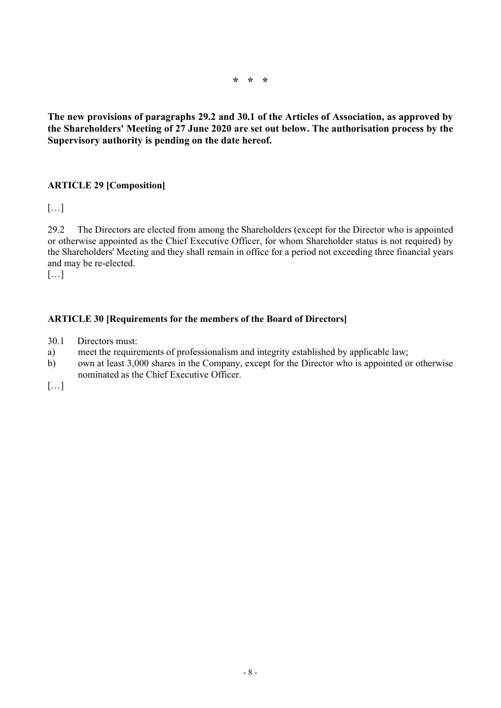\* \* \*

The new provisions of paragraphs 29.2 and 30.1 of the Articles of Association, as approved by the Shareholders' Meeting of 27 June 2020 are set out below. The authorisation process by the Supervisory authority is pending on the date hereof.

## ARTICLE 29 [Composition]

[…]

29.2 The Directors are elected from among the Shareholders (except for the Director who is appointed or otherwise appointed as the Chief Executive Officer, for whom Shareholder status is not required) by the Shareholders' Meeting and they shall remain in office for a period not exceeding three financial years and may be re-elected.

[…]

### ARTICLE 30 [Requirements for the members of the Board of Directors]

- 30.1 Directors must:
- a) meet the requirements of professionalism and integrity established by applicable law;
- b) own at least 3,000 shares in the Company, except for the Director who is appointed or otherwise nominated as the Chief Executive Officer.

[…]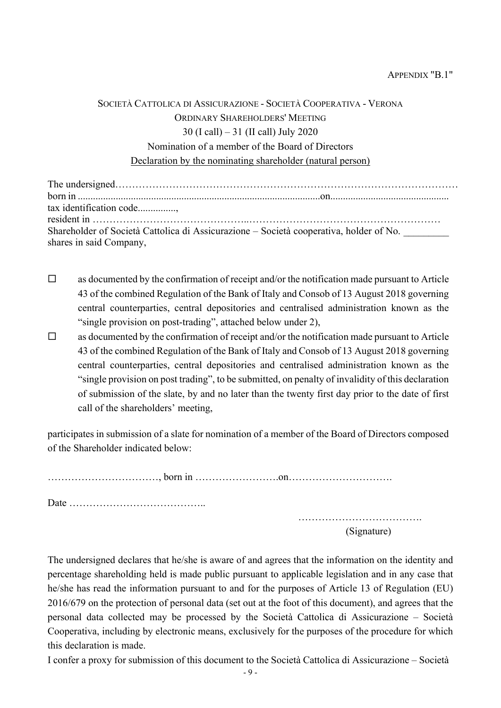| SOCIETÀ CATTOLICA DI ASSICURAZIONE - SOCIETÀ COOPERATIVA - VERONA |
|-------------------------------------------------------------------|
| ORDINARY SHAREHOLDERS' MEETING                                    |
| 30 (I call) $-31$ (II call) July 2020                             |
| Nomination of a member of the Board of Directors                  |
| Declaration by the nominating shareholder (natural person)        |

| tax identification code                                                                |  |  |
|----------------------------------------------------------------------------------------|--|--|
|                                                                                        |  |  |
| Shareholder of Società Cattolica di Assicurazione – Società cooperativa, holder of No. |  |  |
| shares in said Company,                                                                |  |  |

- $\Box$  as documented by the confirmation of receipt and/or the notification made pursuant to Article 43 of the combined Regulation of the Bank of Italy and Consob of 13 August 2018 governing central counterparties, central depositories and centralised administration known as the "single provision on post-trading", attached below under 2),
- $\Box$  as documented by the confirmation of receipt and/or the notification made pursuant to Article 43 of the combined Regulation of the Bank of Italy and Consob of 13 August 2018 governing central counterparties, central depositories and centralised administration known as the "single provision on post trading", to be submitted, on penalty of invalidity of this declaration of submission of the slate, by and no later than the twenty first day prior to the date of first call of the shareholders' meeting,

participates in submission of a slate for nomination of a member of the Board of Directors composed of the Shareholder indicated below:

……………………………, born in …………………….on………………………….

Date …………………………………..

………………………………. (Signature)

The undersigned declares that he/she is aware of and agrees that the information on the identity and percentage shareholding held is made public pursuant to applicable legislation and in any case that he/she has read the information pursuant to and for the purposes of Article 13 of Regulation (EU) 2016/679 on the protection of personal data (set out at the foot of this document), and agrees that the personal data collected may be processed by the Società Cattolica di Assicurazione – Società Cooperativa, including by electronic means, exclusively for the purposes of the procedure for which this declaration is made.

I confer a proxy for submission of this document to the Società Cattolica di Assicurazione – Società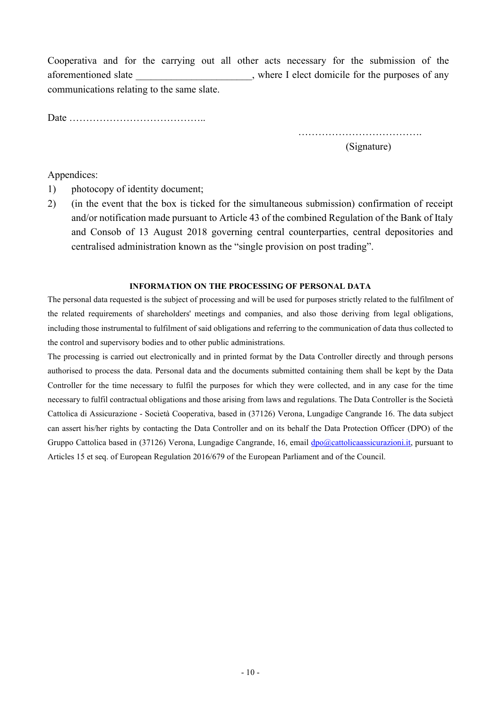Cooperativa and for the carrying out all other acts necessary for the submission of the aforementioned slate  $\blacksquare$ , where I elect domicile for the purposes of any communications relating to the same slate.

Date …………………………………..

………………………………. (Signature)

Appendices:

- 1) photocopy of identity document;
- 2) (in the event that the box is ticked for the simultaneous submission) confirmation of receipt and/or notification made pursuant to Article 43 of the combined Regulation of the Bank of Italy and Consob of 13 August 2018 governing central counterparties, central depositories and centralised administration known as the "single provision on post trading".

#### INFORMATION ON THE PROCESSING OF PERSONAL DATA

The personal data requested is the subject of processing and will be used for purposes strictly related to the fulfilment of the related requirements of shareholders' meetings and companies, and also those deriving from legal obligations, including those instrumental to fulfilment of said obligations and referring to the communication of data thus collected to the control and supervisory bodies and to other public administrations.

The processing is carried out electronically and in printed format by the Data Controller directly and through persons authorised to process the data. Personal data and the documents submitted containing them shall be kept by the Data Controller for the time necessary to fulfil the purposes for which they were collected, and in any case for the time necessary to fulfil contractual obligations and those arising from laws and regulations. The Data Controller is the Società Cattolica di Assicurazione - Società Cooperativa, based in (37126) Verona, Lungadige Cangrande 16. The data subject can assert his/her rights by contacting the Data Controller and on its behalf the Data Protection Officer (DPO) of the Gruppo Cattolica based in (37126) Verona, Lungadige Cangrande, 16, email dpo@cattolicaassicurazioni.it, pursuant to Articles 15 et seq. of European Regulation 2016/679 of the European Parliament and of the Council.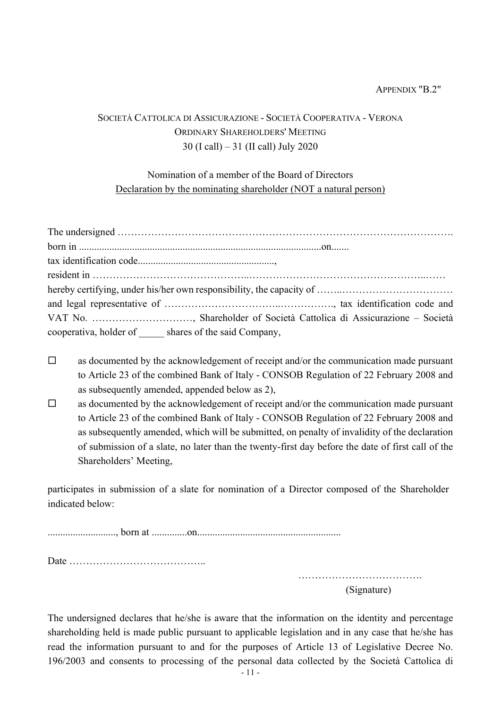#### APPENDIX "B.2"

## SOCIETÀ CATTOLICA DI ASSICURAZIONE - SOCIETÀ COOPERATIVA - VERONA ORDINARY SHAREHOLDERS' MEETING 30 (I call) – 31 (II call) July 2020

## Nomination of a member of the Board of Directors Declaration by the nominating shareholder (NOT a natural person)

| cooperativa, holder of ______ shares of the said Company, |  |
|-----------------------------------------------------------|--|

- $\square$  as documented by the acknowledgement of receipt and/or the communication made pursuant to Article 23 of the combined Bank of Italy - CONSOB Regulation of 22 February 2008 and as subsequently amended, appended below as 2),
- $\Box$  as documented by the acknowledgement of receipt and/or the communication made pursuant to Article 23 of the combined Bank of Italy - CONSOB Regulation of 22 February 2008 and as subsequently amended, which will be submitted, on penalty of invalidity of the declaration of submission of a slate, no later than the twenty-first day before the date of first call of the Shareholders' Meeting,

participates in submission of a slate for nomination of a Director composed of the Shareholder indicated below:

..........................., born at ..............on.........................................................

Date …………………………………..

………………………………. (Signature)

The undersigned declares that he/she is aware that the information on the identity and percentage shareholding held is made public pursuant to applicable legislation and in any case that he/she has read the information pursuant to and for the purposes of Article 13 of Legislative Decree No. 196/2003 and consents to processing of the personal data collected by the Società Cattolica di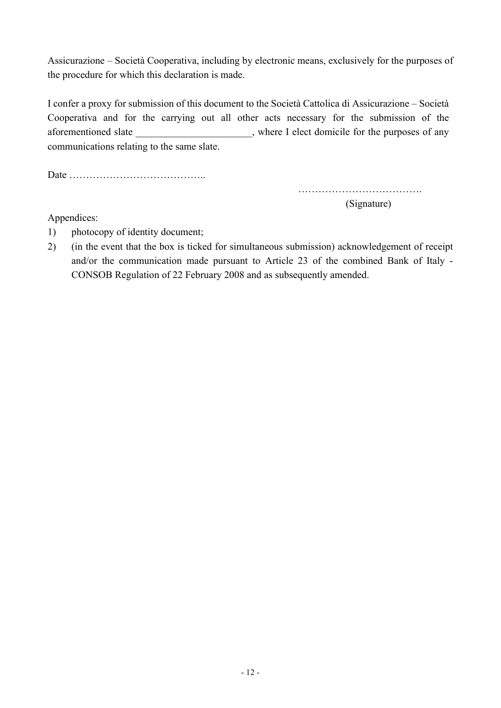Assicurazione – Società Cooperativa, including by electronic means, exclusively for the purposes of the procedure for which this declaration is made.

I confer a proxy for submission of this document to the Società Cattolica di Assicurazione – Società Cooperativa and for the carrying out all other acts necessary for the submission of the aforementioned slate \_\_\_\_\_\_\_\_\_\_\_\_\_\_\_\_\_\_\_\_\_\_, where I elect domicile for the purposes of any communications relating to the same slate.

Date …………………………………..

………………………………. (Signature)

Appendices:

- 1) photocopy of identity document;
- 2) (in the event that the box is ticked for simultaneous submission) acknowledgement of receipt and/or the communication made pursuant to Article 23 of the combined Bank of Italy - CONSOB Regulation of 22 February 2008 and as subsequently amended.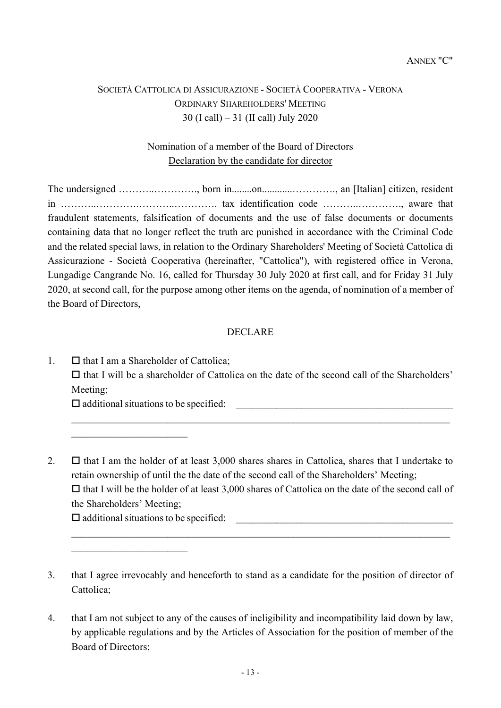# SOCIETÀ CATTOLICA DI ASSICURAZIONE - SOCIETÀ COOPERATIVA - VERONA ORDINARY SHAREHOLDERS' MEETING 30 (I call) – 31 (II call) July 2020

# Nomination of a member of the Board of Directors Declaration by the candidate for director

The undersigned ………..…………., born in........on............…………., an [Italian] citizen, resident in ………..………….………..…………. tax identification code ………..…………., aware that fraudulent statements, falsification of documents and the use of false documents or documents containing data that no longer reflect the truth are punished in accordance with the Criminal Code and the related special laws, in relation to the Ordinary Shareholders' Meeting of Società Cattolica di Assicurazione - Società Cooperativa (hereinafter, "Cattolica"), with registered office in Verona, Lungadige Cangrande No. 16, called for Thursday 30 July 2020 at first call, and for Friday 31 July 2020, at second call, for the purpose among other items on the agenda, of nomination of a member of the Board of Directors,

### DECLARE

1.  $\Box$  that I am a Shareholder of Cattolica;  $\Box$  that I will be a shareholder of Cattolica on the date of the second call of the Shareholders' Meeting;  $\square$  additional situations to be specified:

2.  $\Box$  that I am the holder of at least 3,000 shares shares in Cattolica, shares that I undertake to retain ownership of until the the date of the second call of the Shareholders' Meeting;  $\Box$  that I will be the holder of at least 3,000 shares of Cattolica on the date of the second call of the Shareholders' Meeting;

 $\square$  additional situations to be specified:

- 3. that I agree irrevocably and henceforth to stand as a candidate for the position of director of Cattolica;
- 4. that I am not subject to any of the causes of ineligibility and incompatibility laid down by law, by applicable regulations and by the Articles of Association for the position of member of the Board of Directors;